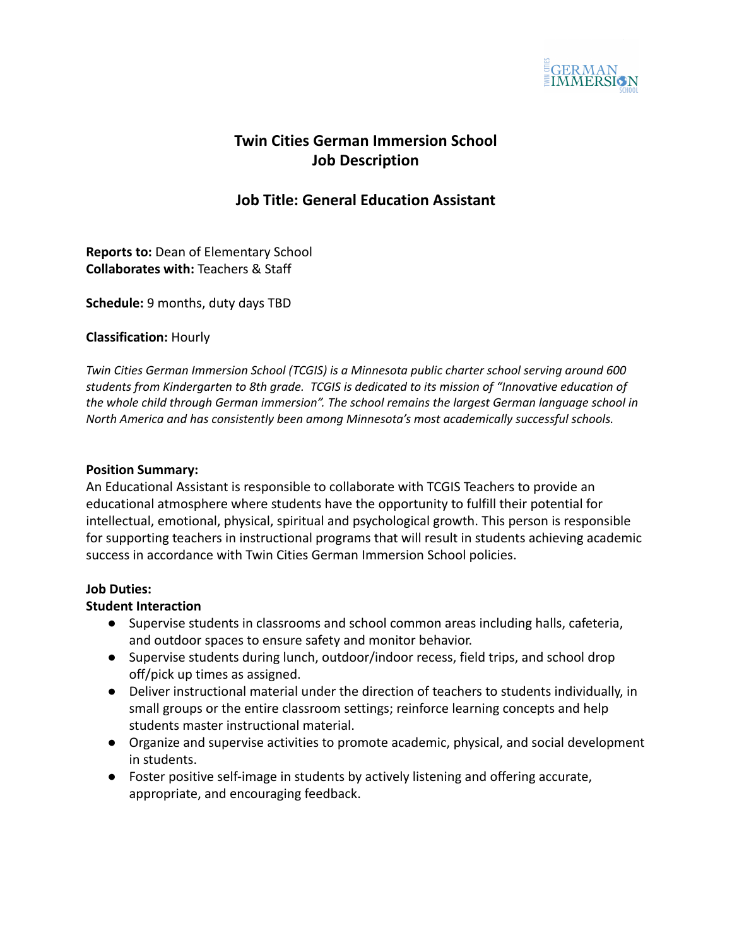

# **Twin Cities German Immersion School Job Description**

## **Job Title: General Education Assistant**

**Reports to:** Dean of Elementary School **Collaborates with:** Teachers & Staff

**Schedule:** 9 months, duty days TBD

#### **Classification:** Hourly

*Twin Cities German Immersion School (TCGIS) is a Minnesota public charter school serving around 600 students from Kindergarten to 8th grade. TCGIS is dedicated to its mission of "Innovative education of the whole child through German immersion". The school remains the largest German language school in North America and has consistently been among Minnesota's most academically successful schools.*

#### **Position Summary:**

An Educational Assistant is responsible to collaborate with TCGIS Teachers to provide an educational atmosphere where students have the opportunity to fulfill their potential for intellectual, emotional, physical, spiritual and psychological growth. This person is responsible for supporting teachers in instructional programs that will result in students achieving academic success in accordance with Twin Cities German Immersion School policies.

#### **Job Duties:**

## **Student Interaction**

- Supervise students in classrooms and school common areas including halls, cafeteria, and outdoor spaces to ensure safety and monitor behavior.
- Supervise students during lunch, outdoor/indoor recess, field trips, and school drop off/pick up times as assigned.
- Deliver instructional material under the direction of teachers to students individually, in small groups or the entire classroom settings; reinforce learning concepts and help students master instructional material.
- Organize and supervise activities to promote academic, physical, and social development in students.
- Foster positive self-image in students by actively listening and offering accurate, appropriate, and encouraging feedback.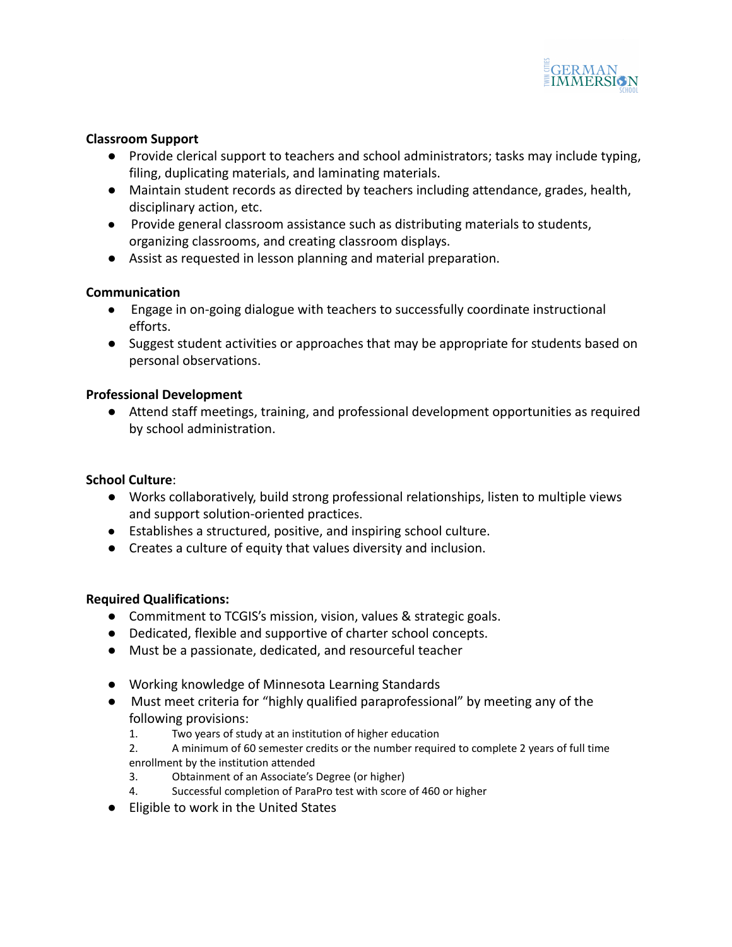

## **Classroom Support**

- Provide clerical support to teachers and school administrators; tasks may include typing, filing, duplicating materials, and laminating materials.
- Maintain student records as directed by teachers including attendance, grades, health, disciplinary action, etc.
- Provide general classroom assistance such as distributing materials to students, organizing classrooms, and creating classroom displays.
- Assist as requested in lesson planning and material preparation.

## **Communication**

- Engage in on-going dialogue with teachers to successfully coordinate instructional efforts.
- Suggest student activities or approaches that may be appropriate for students based on personal observations.

## **Professional Development**

● Attend staff meetings, training, and professional development opportunities as required by school administration.

### **School Culture**:

- **●** Works collaboratively, build strong professional relationships, listen to multiple views and support solution-oriented practices.
- Establishes a structured, positive, and inspiring school culture.
- Creates a culture of equity that values diversity and inclusion.

## **Required Qualifications:**

- Commitment to TCGIS's mission, vision, values & strategic goals.
- Dedicated, flexible and supportive of charter school concepts.
- Must be a passionate, dedicated, and resourceful teacher
- Working knowledge of Minnesota Learning Standards
- Must meet criteria for "highly qualified paraprofessional" by meeting any of the following provisions:
	- 1. Two years of study at an institution of higher education
	- 2. A minimum of 60 semester credits or the number required to complete 2 years of full time enrollment by the institution attended
	- 3. Obtainment of an Associate's Degree (or higher)
	- 4. Successful completion of ParaPro test with score of 460 or higher
- Eligible to work in the United States